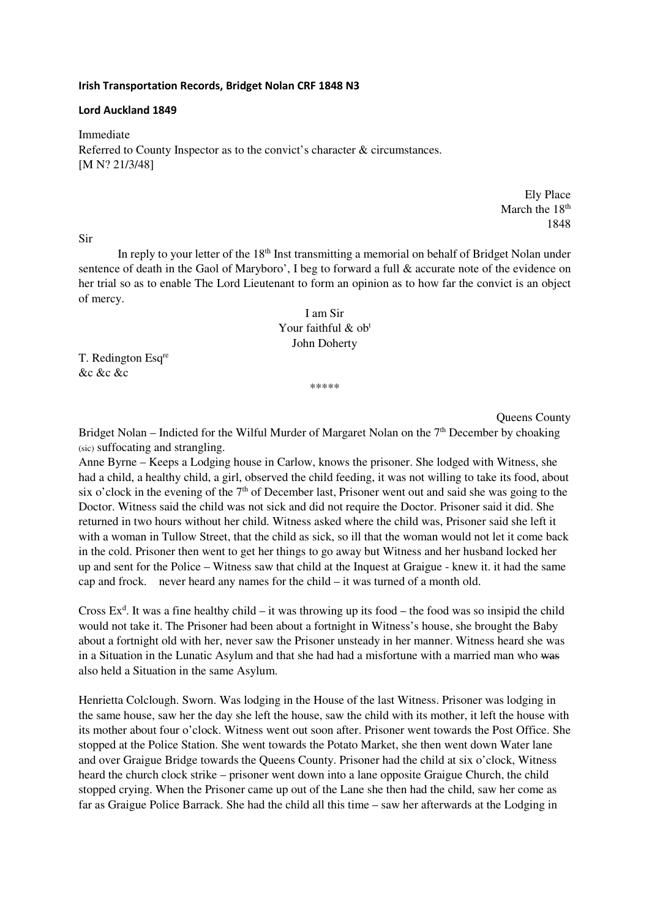#### **Irish Transportation Records, Bridget Nolan CRF 1848 N3**

#### **Lord Auckland 1849**

Immediate Referred to County Inspector as to the convict's character & circumstances. [M N? 21/3/48]

> Ely Place March the  $18<sup>th</sup>$ 1848

Sir

In reply to your letter of the 18<sup>th</sup> Inst transmitting a memorial on behalf of Bridget Nolan under sentence of death in the Gaol of Maryboro', I beg to forward a full & accurate note of the evidence on her trial so as to enable The Lord Lieutenant to form an opinion as to how far the convict is an object of mercy.

# I am Sir Your faithful & ob<sup>t</sup> John Doherty

T. Redington Esq<sup>re</sup> &c &c &c

\*\*\*\*\*

Queens County

Bridget Nolan – Indicted for the Wilful Murder of Margaret Nolan on the  $7<sup>th</sup>$  December by choaking (sic) suffocating and strangling.

Anne Byrne – Keeps a Lodging house in Carlow, knows the prisoner. She lodged with Witness, she had a child, a healthy child, a girl, observed the child feeding, it was not willing to take its food, about six o'clock in the evening of the  $7<sup>th</sup>$  of December last, Prisoner went out and said she was going to the Doctor. Witness said the child was not sick and did not require the Doctor. Prisoner said it did. She returned in two hours without her child. Witness asked where the child was, Prisoner said she left it with a woman in Tullow Street, that the child as sick, so ill that the woman would not let it come back in the cold. Prisoner then went to get her things to go away but Witness and her husband locked her up and sent for the Police – Witness saw that child at the Inquest at Graigue - knew it. it had the same cap and frock. never heard any names for the child – it was turned of a month old.

Cross  $Ex<sup>d</sup>$ . It was a fine healthy child – it was throwing up its food – the food was so insipid the child would not take it. The Prisoner had been about a fortnight in Witness's house, she brought the Baby about a fortnight old with her, never saw the Prisoner unsteady in her manner. Witness heard she was in a Situation in the Lunatic Asylum and that she had had a misfortune with a married man who was also held a Situation in the same Asylum.

Henrietta Colclough. Sworn. Was lodging in the House of the last Witness. Prisoner was lodging in the same house, saw her the day she left the house, saw the child with its mother, it left the house with its mother about four o'clock. Witness went out soon after. Prisoner went towards the Post Office. She stopped at the Police Station. She went towards the Potato Market, she then went down Water lane and over Graigue Bridge towards the Queens County. Prisoner had the child at six o'clock, Witness heard the church clock strike – prisoner went down into a lane opposite Graigue Church, the child stopped crying. When the Prisoner came up out of the Lane she then had the child, saw her come as far as Graigue Police Barrack. She had the child all this time – saw her afterwards at the Lodging in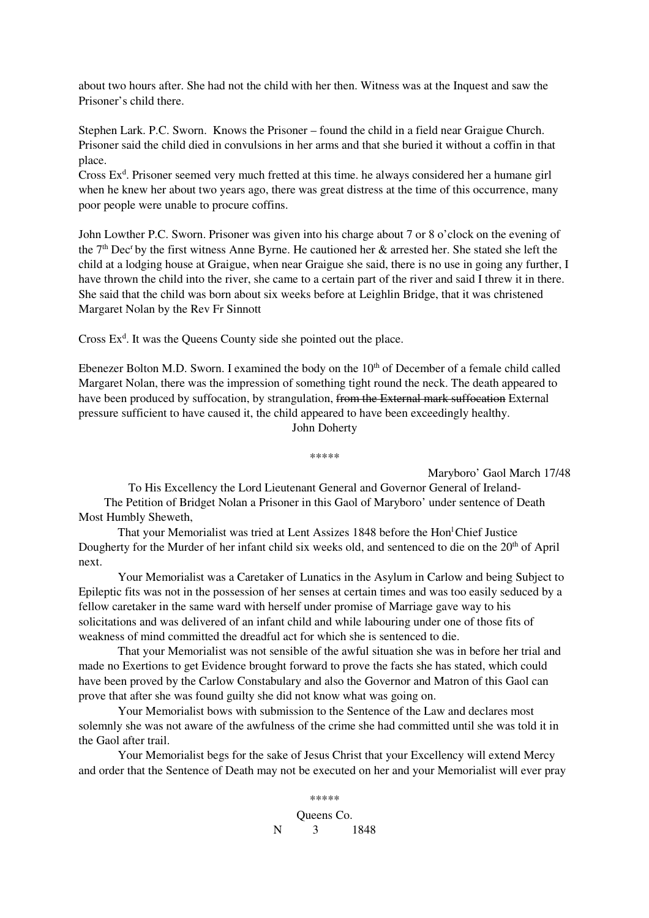about two hours after. She had not the child with her then. Witness was at the Inquest and saw the Prisoner's child there.

Stephen Lark. P.C. Sworn. Knows the Prisoner – found the child in a field near Graigue Church. Prisoner said the child died in convulsions in her arms and that she buried it without a coffin in that place.

Cross Ex<sup>d</sup>. Prisoner seemed very much fretted at this time. he always considered her a humane girl when he knew her about two years ago, there was great distress at the time of this occurrence, many poor people were unable to procure coffins.

John Lowther P.C. Sworn. Prisoner was given into his charge about 7 or 8 o'clock on the evening of the  $7<sup>th</sup>$  Dec<sup>r</sup> by the first witness Anne Byrne. He cautioned her  $\&$  arrested her. She stated she left the child at a lodging house at Graigue, when near Graigue she said, there is no use in going any further, I have thrown the child into the river, she came to a certain part of the river and said I threw it in there. She said that the child was born about six weeks before at Leighlin Bridge, that it was christened Margaret Nolan by the Rev Fr Sinnott

Cross  $Ex<sup>d</sup>$ . It was the Queens County side she pointed out the place.

Ebenezer Bolton M.D. Sworn. I examined the body on the  $10<sup>th</sup>$  of December of a female child called Margaret Nolan, there was the impression of something tight round the neck. The death appeared to have been produced by suffocation, by strangulation, from the External mark suffocation External pressure sufficient to have caused it, the child appeared to have been exceedingly healthy. John Doherty

\*\*\*\*\*

Maryboro' Gaol March 17/48

To His Excellency the Lord Lieutenant General and Governor General of Ireland-The Petition of Bridget Nolan a Prisoner in this Gaol of Maryboro' under sentence of Death Most Humbly Sheweth,

That your Memorialist was tried at Lent Assizes 1848 before the Hon<sup>1</sup>Chief Justice Dougherty for the Murder of her infant child six weeks old, and sentenced to die on the 20<sup>th</sup> of April next.

 Your Memorialist was a Caretaker of Lunatics in the Asylum in Carlow and being Subject to Epileptic fits was not in the possession of her senses at certain times and was too easily seduced by a fellow caretaker in the same ward with herself under promise of Marriage gave way to his solicitations and was delivered of an infant child and while labouring under one of those fits of weakness of mind committed the dreadful act for which she is sentenced to die.

 That your Memorialist was not sensible of the awful situation she was in before her trial and made no Exertions to get Evidence brought forward to prove the facts she has stated, which could have been proved by the Carlow Constabulary and also the Governor and Matron of this Gaol can prove that after she was found guilty she did not know what was going on.

 Your Memorialist bows with submission to the Sentence of the Law and declares most solemnly she was not aware of the awfulness of the crime she had committed until she was told it in the Gaol after trail.

 Your Memorialist begs for the sake of Jesus Christ that your Excellency will extend Mercy and order that the Sentence of Death may not be executed on her and your Memorialist will ever pray

> \*\*\*\*\* Queens Co. N 3 1848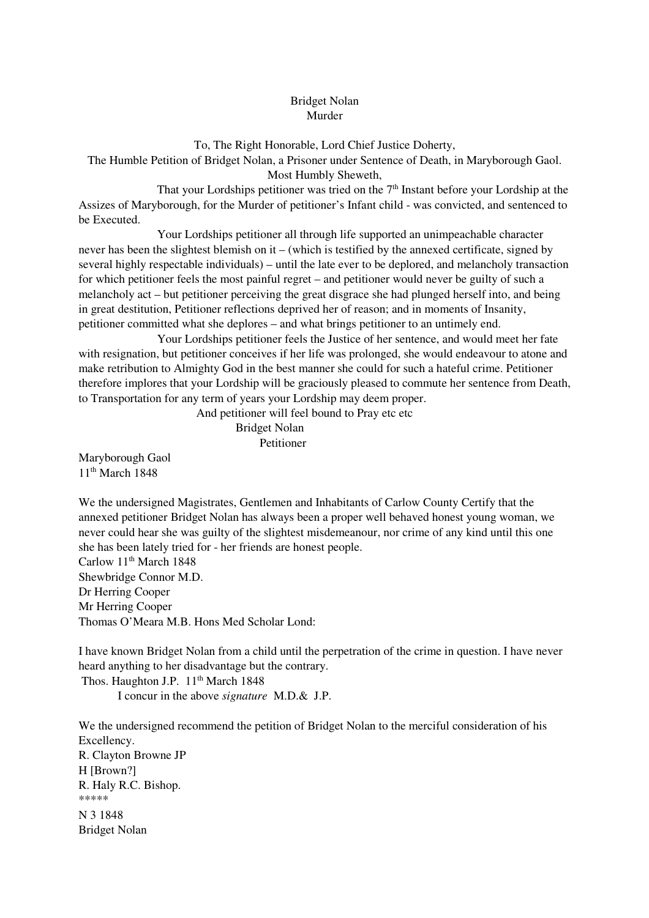## Bridget Nolan Murder

To, The Right Honorable, Lord Chief Justice Doherty, The Humble Petition of Bridget Nolan, a Prisoner under Sentence of Death, in Maryborough Gaol. Most Humbly Sheweth,

That your Lordships petitioner was tried on the 7<sup>th</sup> Instant before your Lordship at the Assizes of Maryborough, for the Murder of petitioner's Infant child - was convicted, and sentenced to be Executed.

 Your Lordships petitioner all through life supported an unimpeachable character never has been the slightest blemish on it – (which is testified by the annexed certificate, signed by several highly respectable individuals) – until the late ever to be deplored, and melancholy transaction for which petitioner feels the most painful regret – and petitioner would never be guilty of such a melancholy act – but petitioner perceiving the great disgrace she had plunged herself into, and being in great destitution, Petitioner reflections deprived her of reason; and in moments of Insanity, petitioner committed what she deplores – and what brings petitioner to an untimely end.

 Your Lordships petitioner feels the Justice of her sentence, and would meet her fate with resignation, but petitioner conceives if her life was prolonged, she would endeavour to atone and make retribution to Almighty God in the best manner she could for such a hateful crime. Petitioner therefore implores that your Lordship will be graciously pleased to commute her sentence from Death, to Transportation for any term of years your Lordship may deem proper.

And petitioner will feel bound to Pray etc etc

Bridget Nolan Petitioner

Maryborough Gaol 11th March 1848

We the undersigned Magistrates, Gentlemen and Inhabitants of Carlow County Certify that the annexed petitioner Bridget Nolan has always been a proper well behaved honest young woman, we never could hear she was guilty of the slightest misdemeanour, nor crime of any kind until this one she has been lately tried for - her friends are honest people. Carlow 11<sup>th</sup> March 1848 Shewbridge Connor M.D. Dr Herring Cooper

Mr Herring Cooper Thomas O'Meara M.B. Hons Med Scholar Lond:

I have known Bridget Nolan from a child until the perpetration of the crime in question. I have never heard anything to her disadvantage but the contrary. Thos. Haughton J.P. 11<sup>th</sup> March 1848

I concur in the above *signature* M.D.& J.P.

We the undersigned recommend the petition of Bridget Nolan to the merciful consideration of his Excellency. R. Clayton Browne JP H [Brown?] R. Haly R.C. Bishop. \*\*\*\*\* N 3 1848 Bridget Nolan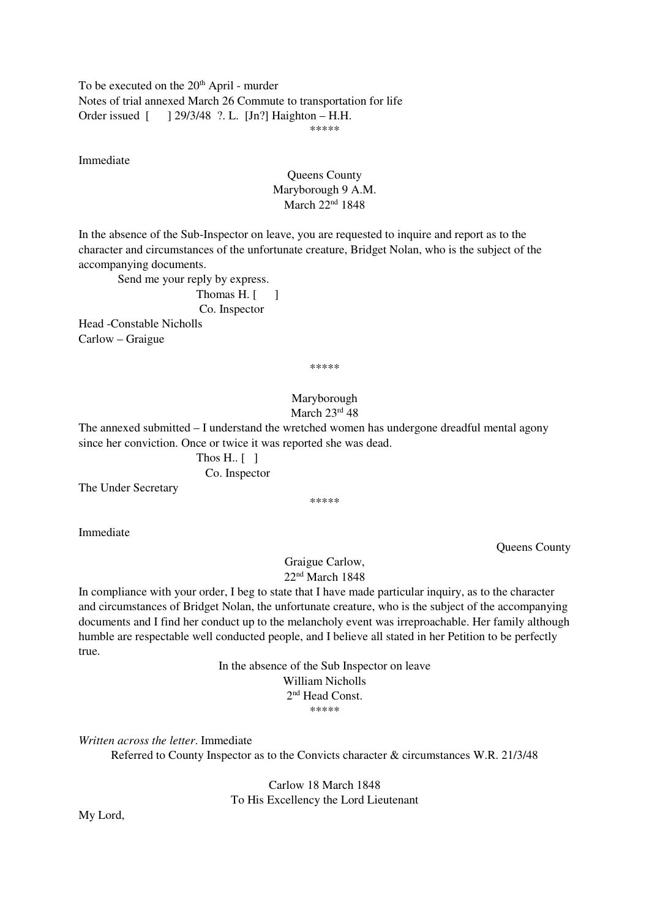To be executed on the 20<sup>th</sup> April - murder Notes of trial annexed March 26 Commute to transportation for life Order issued [ ] 29/3/48 ?. L. [Jn?] Haighton – H.H. \*\*\*\*\*\*\*

Immediate

## Queens County Maryborough 9 A.M. March 22<sup>nd</sup> 1848

In the absence of the Sub-Inspector on leave, you are requested to inquire and report as to the character and circumstances of the unfortunate creature, Bridget Nolan, who is the subject of the accompanying documents.

Send me your reply by express.

Thomas  $H$ .  $\lceil \quad \rceil$ Co. Inspector

Head -Constable Nicholls Carlow – Graigue

\*\*\*\*\*

## Maryborough March 23rd 48

The annexed submitted – I understand the wretched women has undergone dreadful mental agony since her conviction. Once or twice it was reported she was dead.

> Thos H.. [ ] Co. Inspector

The Under Secretary

\*\*\*\*\*

Immediate

Queens County

Graigue Carlow, 22nd March 1848

In compliance with your order, I beg to state that I have made particular inquiry, as to the character and circumstances of Bridget Nolan, the unfortunate creature, who is the subject of the accompanying documents and I find her conduct up to the melancholy event was irreproachable. Her family although humble are respectable well conducted people, and I believe all stated in her Petition to be perfectly true.

> In the absence of the Sub Inspector on leave William Nicholls 2 nd Head Const. \*\*\*\*\*\*\*

*Written across the letter*. Immediate

Referred to County Inspector as to the Convicts character & circumstances W.R. 21/3/48

Carlow 18 March 1848 To His Excellency the Lord Lieutenant

My Lord,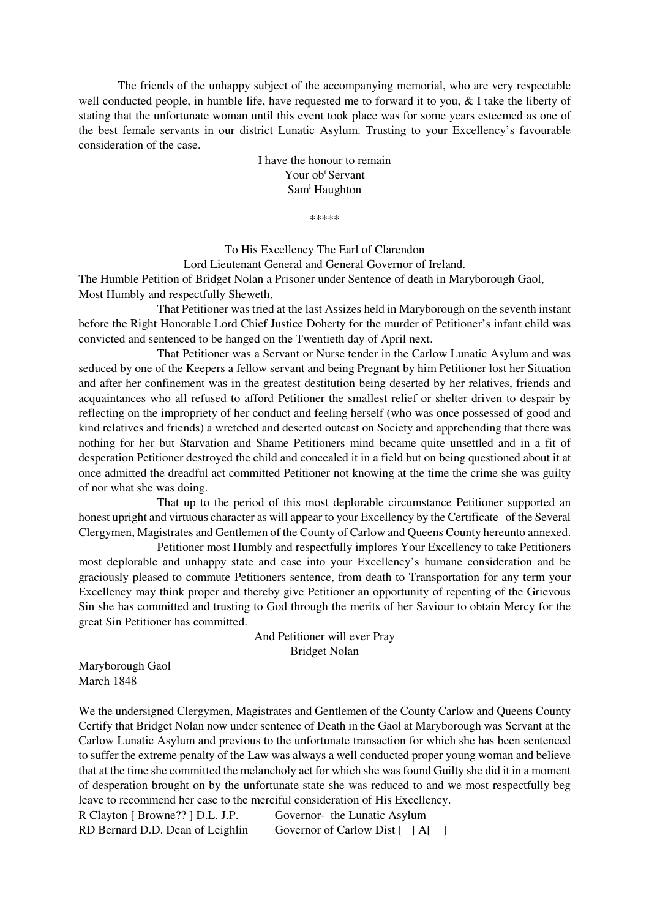The friends of the unhappy subject of the accompanying memorial, who are very respectable well conducted people, in humble life, have requested me to forward it to you, & I take the liberty of stating that the unfortunate woman until this event took place was for some years esteemed as one of the best female servants in our district Lunatic Asylum. Trusting to your Excellency's favourable consideration of the case.

> I have the honour to remain Your ob<sup>t</sup> Servant Sam<sup>1</sup> Haughton

> > \*\*\*\*\*

To His Excellency The Earl of Clarendon Lord Lieutenant General and General Governor of Ireland. The Humble Petition of Bridget Nolan a Prisoner under Sentence of death in Maryborough Gaol,

Most Humbly and respectfully Sheweth,

 That Petitioner was tried at the last Assizes held in Maryborough on the seventh instant before the Right Honorable Lord Chief Justice Doherty for the murder of Petitioner's infant child was convicted and sentenced to be hanged on the Twentieth day of April next.

 That Petitioner was a Servant or Nurse tender in the Carlow Lunatic Asylum and was seduced by one of the Keepers a fellow servant and being Pregnant by him Petitioner lost her Situation and after her confinement was in the greatest destitution being deserted by her relatives, friends and acquaintances who all refused to afford Petitioner the smallest relief or shelter driven to despair by reflecting on the impropriety of her conduct and feeling herself (who was once possessed of good and kind relatives and friends) a wretched and deserted outcast on Society and apprehending that there was nothing for her but Starvation and Shame Petitioners mind became quite unsettled and in a fit of desperation Petitioner destroyed the child and concealed it in a field but on being questioned about it at once admitted the dreadful act committed Petitioner not knowing at the time the crime she was guilty of nor what she was doing.

 That up to the period of this most deplorable circumstance Petitioner supported an honest upright and virtuous character as will appear to your Excellency by the Certificate of the Several Clergymen, Magistrates and Gentlemen of the County of Carlow and Queens County hereunto annexed.

 Petitioner most Humbly and respectfully implores Your Excellency to take Petitioners most deplorable and unhappy state and case into your Excellency's humane consideration and be graciously pleased to commute Petitioners sentence, from death to Transportation for any term your Excellency may think proper and thereby give Petitioner an opportunity of repenting of the Grievous Sin she has committed and trusting to God through the merits of her Saviour to obtain Mercy for the great Sin Petitioner has committed.

> And Petitioner will ever Pray Bridget Nolan

Maryborough Gaol March 1848

We the undersigned Clergymen, Magistrates and Gentlemen of the County Carlow and Queens County Certify that Bridget Nolan now under sentence of Death in the Gaol at Maryborough was Servant at the Carlow Lunatic Asylum and previous to the unfortunate transaction for which she has been sentenced to suffer the extreme penalty of the Law was always a well conducted proper young woman and believe that at the time she committed the melancholy act for which she was found Guilty she did it in a moment of desperation brought on by the unfortunate state she was reduced to and we most respectfully beg leave to recommend her case to the merciful consideration of His Excellency.

R Clayton [ Browne?? ] D.L. J.P. Governor- the Lunatic Asylum RD Bernard D.D. Dean of Leighlin Governor of Carlow Dist [ ] A[ ]